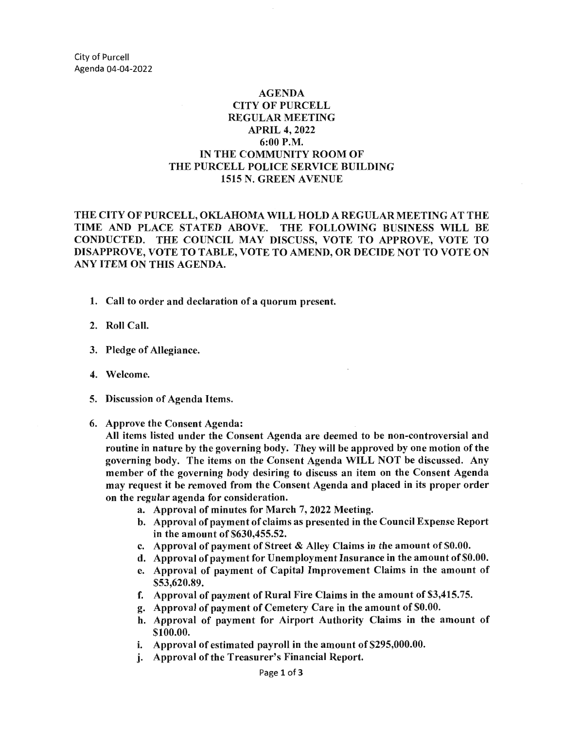## AGENDA CITY OF PURCELL REGULAR MEETING APRIL 4, 2022 6:00 P.M. IN THE COMMUNITY ROOM OF THE PURCELL POLICE SERVICE BUILDING 1515 N. GREEN A VENUE

THE CITY OF PURCELL, OKLAHOMA WILL HOLD A REGULAR MEETING AT THE TIME AND PLACE STATED ABOVE. THE FOLLOWING BUSINESS WILL BE CONDUCTED. THE COUNCIL MAY DISCUSS, VOTE TO APPROVE, VOTE TO DISAPPROVE, VOTE TO TABLE, VOTE TO AMEND, OR DECIDE NOT TO VOTE ON ANY ITEM ON THIS AGENDA.

- 1. Call to order and declaration of a quorum present.
- 2. Roll Call.
- 3. Pledge of Allegiance.
- 4. Welcome.
- 5. Discussion of Agenda Items.
- 6. Approve the Consent Agenda:

All items listed under the Consent Agenda are deemed to be non-controversial and routine in nature by the governing body. They will be approved by one motion of the governing body. The items on the Consent Agenda WILL NOT be discussed. Any member of the governing body desiring to discuss an item on the Consent Agenda may request it be removed from the Consent Agenda and placed in its proper order on the regular agenda for consideration.

- a. Approval of minutes for March 7, 2022 Meeting.
- b. Approval of payment of claims as presented in the Council Expense Report in the amount of \$630,455.52.
- c. Approval of payment of Street & Alley Claims in the amount of \$0.00.
- d. Approval of payment for Unemployment Insurance in the amount of \$0.00.
- e. Approval of payment of Capital Improvement Claims in the amount of \$53,620.89.
- f. Approval of payment of Rural Fire Claims in the amount of \$3,415.75.
- g. Approval of payment of Cemetery Care in the amount of \$0.00.
- h. Approval of payment for Airport Authority Claims in the amount of \$100.00.
- i. Approval of estimated payroll in the amount of \$295,000.00.
- j. Approval of the Treasurer's Financial Report.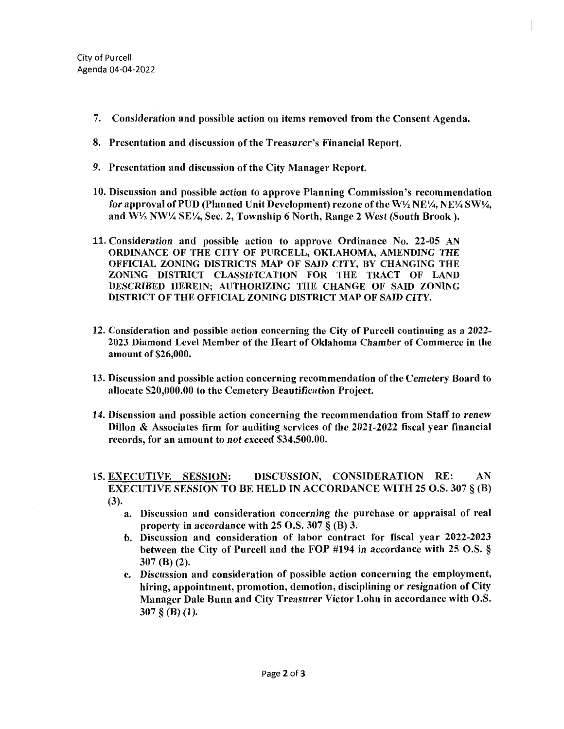- 7. Consideration and possible action on items removed from the Consent Agenda.
- 8. Presentation and discussion of the Treasurer's Financial Report.
- 9. Presentation and discussion of the City Manager Report.
- 10. Discussion and possible action to approve Planning Commission's recommendation for approval of PUD (Planned Unit Development) rezone of the W $\frac{1}{2}$  NE $\frac{1}{4}$ , NE $\frac{1}{4}$  SW $\frac{1}{4}$ , and W½ NW¼ SE¼, Sec. 2, Township 6 North, Range 2 West (South Brook).
- 11. Consideration and possible action to approve Ordinance No. 22-05 AN ORDINANCE OF THE CITY OF PURCELL, OKLAHOMA, AMENDING THE OFFICIAL ZONING DISTRICTS MAP OF SAID CITY, BY CHANGING THE ZONING DISTRICT CLASSIFICATION FOR THE TRACT OF LAND DESCRIBED HEREIN; AUTHORIZING THE CHANGE OF SAID ZONING DISTRICT OF THE OFFICIAL ZONING DISTRICT MAP OF SAID CITY.
- 12. Consideration and possible action concerning the City of Purcell continuing as a 2022- 2023 Diamond Level Member of the Heart of Oklahoma Chamber of Commerce in the amount of \$26,000.
- 13. Discussion and possible action concerning recommendation of the Cemetery Board to allocate \$20,000.00 to the Cemetery Beautification Project.
- 14. Discussion and possible action concerning the recommendation from Staff to renew Dillon & Associates firm for auditing services of the 2021-2022 fiscal year financial records, for an amount to not exceed \$34,500.00.
- 15. EXECUTIVE SESSION: DISCUSSION, CONSIDERATION RE: AN EXECUTIVE SESSION TO BE HELD IN ACCORDANCE WITH 25 O.S. 307 § (B) (3).
	- a. Discussion and consideration concerning the purchase or appraisal of real property in accordance with 25 O.S. 307 § (B) 3.
	- b. Discussion and consideration of labor contract for fiscal year 2022-2023 between the City of Purcell and the FOP #194 in accordance with 25 O.S. § 307 (B) (2).
	- c. Discussion and consideration of possible action concerning the employment, hiring, appointment, promotion, demotion, disciplining or resignation of City Manager Dale Bunn and City Treasurer Victor Lohn in accordance with O.S.  $307 \S$  (B) (1).